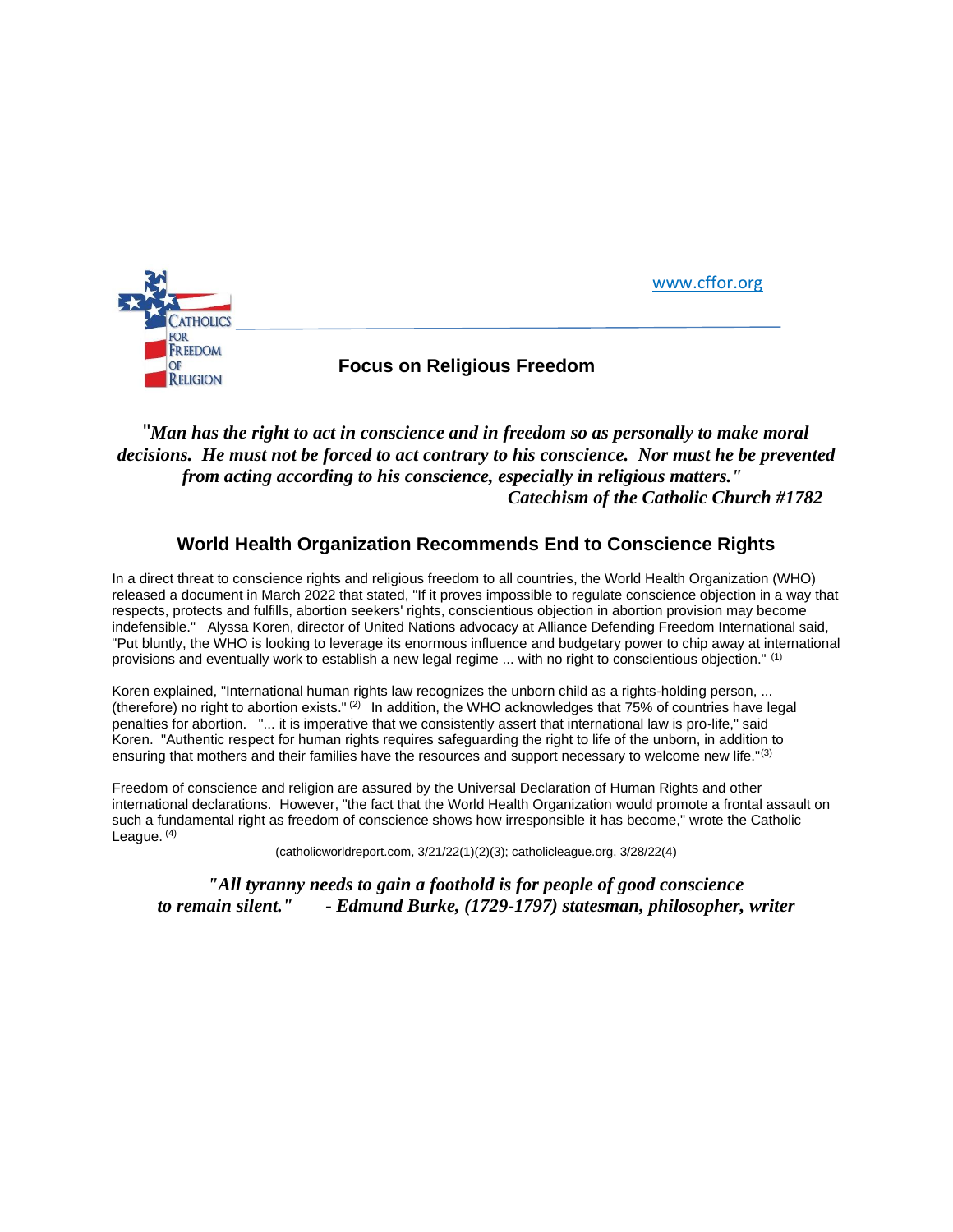[www.cffor.org](http://www.cffor.org/)



## "*Man has the right to act in conscience and in freedom so as personally to make moral decisions. He must not be forced to act contrary to his conscience. Nor must he be prevented from acting according to his conscience, especially in religious matters." Catechism of the Catholic Church #1782*

## **World Health Organization Recommends End to Conscience Rights**

In a direct threat to conscience rights and religious freedom to all countries, the World Health Organization (WHO) released a document in March 2022 that stated, "If it proves impossible to regulate conscience objection in a way that respects, protects and fulfills, abortion seekers' rights, conscientious objection in abortion provision may become indefensible." Alyssa Koren, director of United Nations advocacy at Alliance Defending Freedom International said, "Put bluntly, the WHO is looking to leverage its enormous influence and budgetary power to chip away at international provisions and eventually work to establish a new legal regime ... with no right to conscientious objection." (1)

Koren explained, "International human rights law recognizes the unborn child as a rights-holding person, ... (therefore) no right to abortion exists."  $(2)$  In addition, the WHO acknowledges that 75% of countries have legal penalties for abortion. "... it is imperative that we consistently assert that international law is pro-life," said Koren. "Authentic respect for human rights requires safeguarding the right to life of the unborn, in addition to ensuring that mothers and their families have the resources and support necessary to welcome new life."<sup>(3)</sup>

Freedom of conscience and religion are assured by the Universal Declaration of Human Rights and other international declarations. However, "the fact that the World Health Organization would promote a frontal assault on such a fundamental right as freedom of conscience shows how irresponsible it has become," wrote the Catholic League.<sup>(4)</sup>

(catholicworldreport.com, 3/21/22(1)(2)(3); catholicleague.org, 3/28/22(4)

*"All tyranny needs to gain a foothold is for people of good conscience to remain silent." - Edmund Burke, (1729-1797) statesman, philosopher, writer*